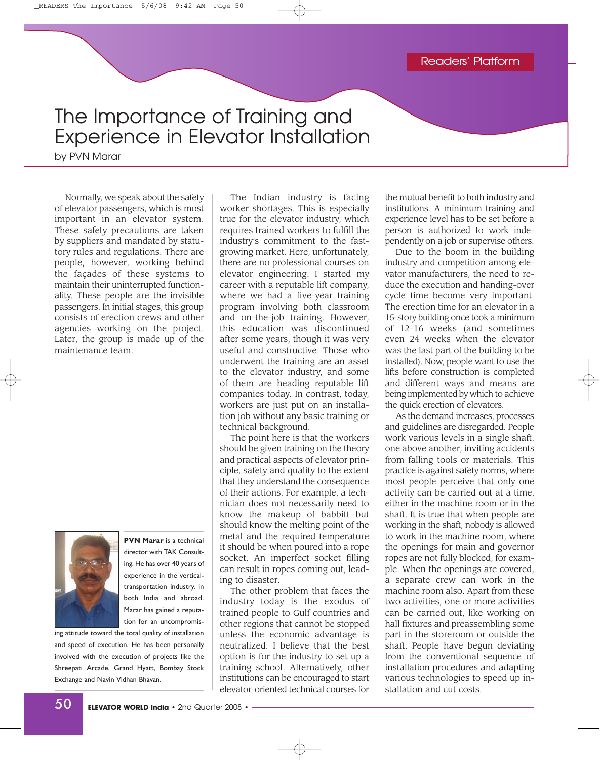## The Importance of Training and Experience in Elevator Installation

by PVN Marar

Normally, we speak about the safety of elevator passengers, which is most important in an elevator system. These safety precautions are taken by suppliers and mandated by statutory rules and regulations. There are people, however, working behind the façades of these systems to maintain their uninterrupted functionality. These people are the invisible passengers. In initial stages, this group consists of erection crews and other agencies working on the project. Later, the group is made up of the maintenance team.



**PVN Marar** is a technical director with TAK Consulting. He has over 40 years of experience in the verticaltransportation industry, in both India and abroad. Marar has gained a reputation for an uncompromis-

ing attitude toward the total quality of installation and speed of execution. He has been personally involved with the execution of projects like the Shreepati Arcade, Grand Hyatt, Bombay Stock Exchange and Navin Vidhan Bhavan.

The Indian industry is facing worker shortages. This is especially true for the elevator industry, which requires trained workers to fulfill the industry's commitment to the fastgrowing market. Here, unfortunately, there are no professional courses on elevator engineering. I started my career with a reputable lift company, where we had a five-year training program involving both classroom and on-the-job training. However, this education was discontinued after some years, though it was very useful and constructive. Those who underwent the training are an asset to the elevator industry, and some of them are heading reputable lift companies today. In contrast, today, workers are just put on an installation job without any basic training or technical background.

The point here is that the workers should be given training on the theory and practical aspects of elevator principle, safety and quality to the extent that they understand the consequence of their actions. For example, a technician does not necessarily need to know the makeup of babbitt but should know the melting point of the metal and the required temperature it should be when poured into a rope socket. An imperfect socket filling can result in ropes coming out, leading to disaster.

The other problem that faces the industry today is the exodus of trained people to Gulf countries and other regions that cannot be stopped unless the economic advantage is neutralized. I believe that the best option is for the industry to set up a training school. Alternatively, other institutions can be encouraged to start elevator-oriented technical courses for

the mutual benefit to both industry and institutions. A minimum training and experience level has to be set before a person is authorized to work independently on a job or supervise others.

Due to the boom in the building industry and competition among elevator manufacturers, the need to reduce the execution and handing-over cycle time become very important. The erection time for an elevator in a 15-story building once took a minimum of 12-16 weeks (and sometimes even 24 weeks when the elevator was the last part of the building to be installed). Now, people want to use the lifts before construction is completed and different ways and means are being implemented by which to achieve the quick erection of elevators.

As the demand increases, processes and guidelines are disregarded. People work various levels in a single shaft, one above another, inviting accidents from falling tools or materials. This practice is against safety norms, where most people perceive that only one activity can be carried out at a time, either in the machine room or in the shaft. It is true that when people are working in the shaft, nobody is allowed to work in the machine room, where the openings for main and governor ropes are not fully blocked, for example. When the openings are covered, a separate crew can work in the machine room also. Apart from these two activities, one or more activities can be carried out, like working on hall fixtures and preassembling some part in the storeroom or outside the shaft. People have begun deviating from the conventional sequence of installation procedures and adapting various technologies to speed up installation and cut costs.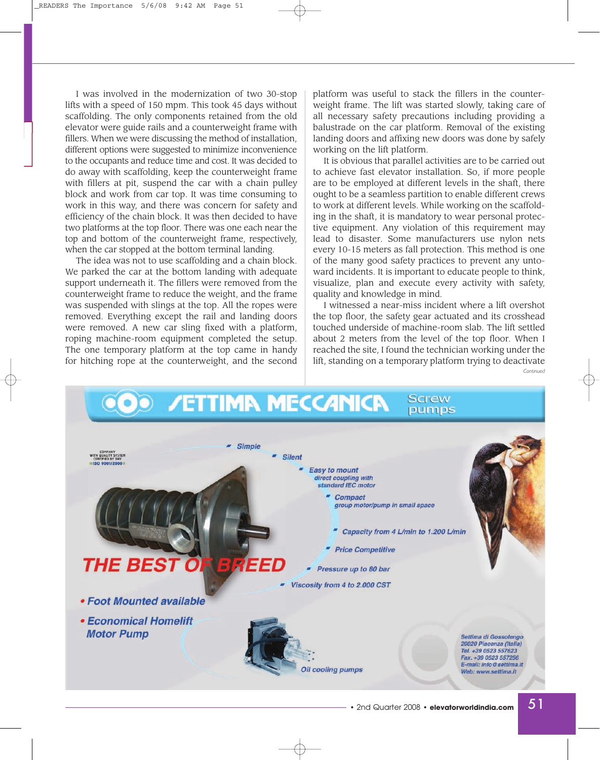I was involved in the modernization of two 30-stop lifts with a speed of 150 mpm. This took 45 days without scaffolding. The only components retained from the old elevator were guide rails and a counterweight frame with fillers. When we were discussing the method of installation, different options were suggested to minimize inconvenience to the occupants and reduce time and cost. It was decided to do away with scaffolding, keep the counterweight frame with fillers at pit, suspend the car with a chain pulley block and work from car top. It was time consuming to work in this way, and there was concern for safety and efficiency of the chain block. It was then decided to have two platforms at the top floor. There was one each near the top and bottom of the counterweight frame, respectively, when the car stopped at the bottom terminal landing.

The idea was not to use scaffolding and a chain block. We parked the car at the bottom landing with adequate support underneath it. The fillers were removed from the counterweight frame to reduce the weight, and the frame was suspended with slings at the top. All the ropes were removed. Everything except the rail and landing doors were removed. A new car sling fixed with a platform, roping machine-room equipment completed the setup. The one temporary platform at the top came in handy for hitching rope at the counterweight, and the second platform was useful to stack the fillers in the counterweight frame. The lift was started slowly, taking care of all necessary safety precautions including providing a balustrade on the car platform. Removal of the existing landing doors and affixing new doors was done by safely working on the lift platform.

It is obvious that parallel activities are to be carried out to achieve fast elevator installation. So, if more people are to be employed at different levels in the shaft, there ought to be a seamless partition to enable different crews to work at different levels. While working on the scaffolding in the shaft, it is mandatory to wear personal protective equipment. Any violation of this requirement may lead to disaster. Some manufacturers use nylon nets every 10-15 meters as fall protection. This method is one of the many good safety practices to prevent any untoward incidents. It is important to educate people to think, visualize, plan and execute every activity with safety, quality and knowledge in mind.

I witnessed a near-miss incident where a lift overshot the top floor, the safety gear actuated and its crosshead touched underside of machine-room slab. The lift settled about 2 meters from the level of the top floor. When I reached the site, I found the technician working under the lift, standing on a temporary platform trying to deactivate *Continued*